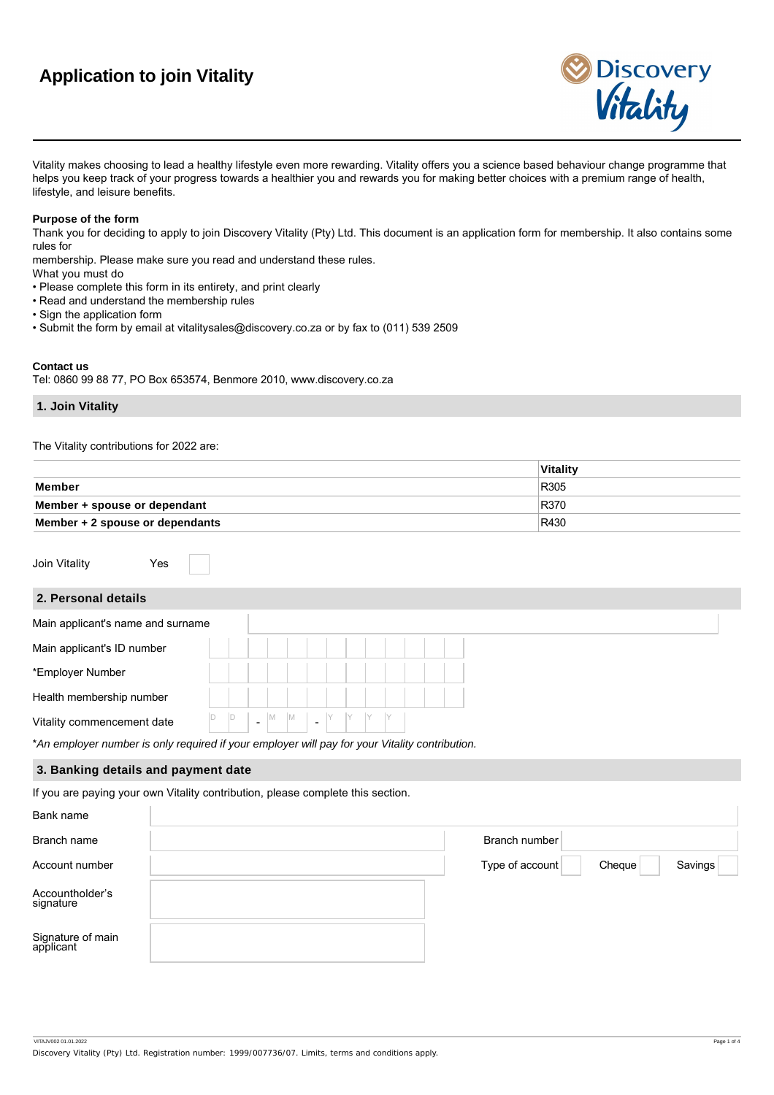# **Application to join Vitality**



Vitality makes choosing to lead a healthy lifestyle even more rewarding. Vitality offers you a science based behaviour change programme that helps you keep track of your progress towards a healthier you and rewards you for making better choices with a premium range of health, lifestyle, and leisure benefits.

## **Purpose of the form**

Thank you for deciding to apply to join Discovery Vitality (Pty) Ltd. This document is an application form for membership. It also contains some rules for

membership. Please make sure you read and understand these rules.

- What you must do
- Please complete this form in its entirety, and print clearly
- Read and understand the membership rules
- Sign the application form
- Submit the form by email at vitalitysales@discovery.co.za or by fax to (011) 539 2509

## **Contact us**

Tel: 0860 99 88 77, PO Box 653574, Benmore 2010, www.discovery.co.za

## **1. Join Vitality**

The Vitality contributions for 2022 are:

|                                 | Vitality |
|---------------------------------|----------|
| Member                          | R305     |
| Member + spouse or dependant    | R370     |
| Member + 2 spouse or dependants | R430     |

Join Vitality **Yes** 

## **2. Personal details**

| Main applicant's name and surname |    |   |  |  |  |  |  |  |
|-----------------------------------|----|---|--|--|--|--|--|--|
| Main applicant's ID number        |    |   |  |  |  |  |  |  |
| *Employer Number                  |    |   |  |  |  |  |  |  |
| Health membership number          |    |   |  |  |  |  |  |  |
| Vitality commencement date        | ID | D |  |  |  |  |  |  |
|                                   |    |   |  |  |  |  |  |  |

\**An employer number is only required if your employer will pay for your Vitality contribution.*

## **3. Banking details and payment date**

If you are paying your own Vitality contribution, please complete this section.

| Bank name                      |                 |        |         |
|--------------------------------|-----------------|--------|---------|
| Branch name                    | Branch number   |        |         |
| Account number                 | Type of account | Cheque | Savings |
| Accountholder's<br>signature   |                 |        |         |
| Signature of main<br>applicant |                 |        |         |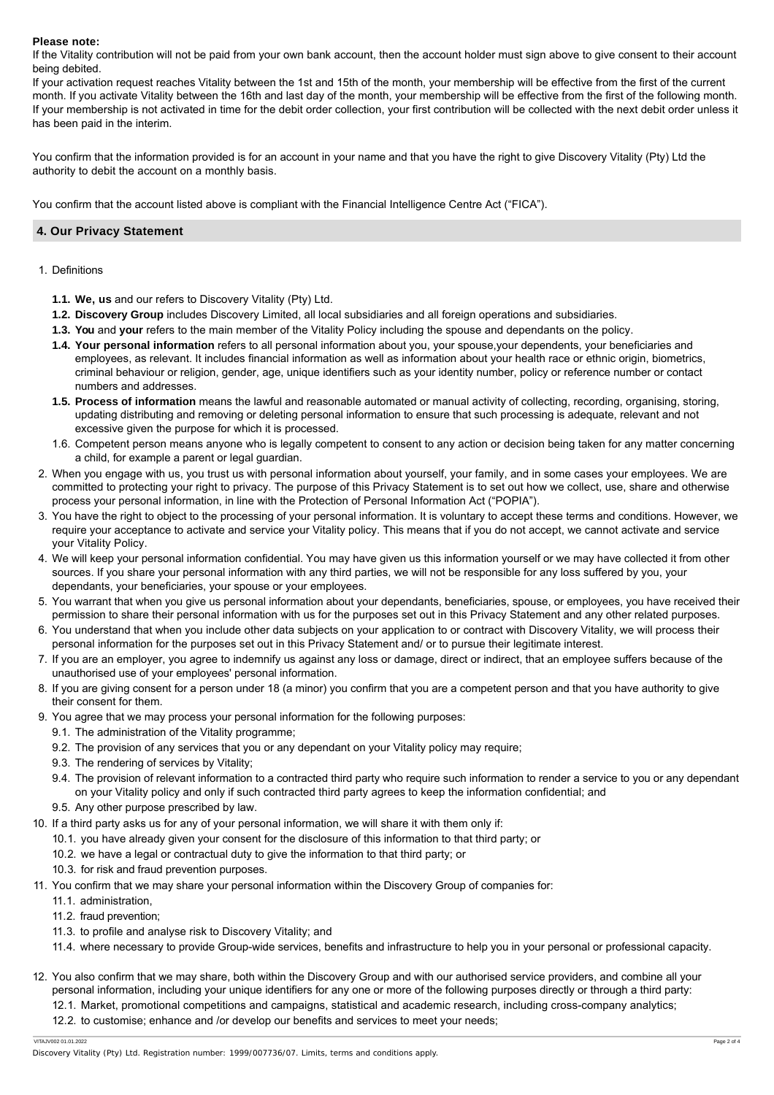## **Please note:**

If the Vitality contribution will not be paid from your own bank account, then the account holder must sign above to give consent to their account being debited.

If your activation request reaches Vitality between the 1st and 15th of the month, your membership will be effective from the first of the current month. If you activate Vitality between the 16th and last day of the month, your membership will be effective from the first of the following month. If your membership is not activated in time for the debit order collection, your first contribution will be collected with the next debit order unless it has been paid in the interim.

You confirm that the information provided is for an account in your name and that you have the right to give Discovery Vitality (Pty) Ltd the authority to debit the account on a monthly basis.

You confirm that the account listed above is compliant with the Financial Intelligence Centre Act ("FICA").

## **4. Our Privacy Statement**

- 1. Definitions
	- **1.1. We, us** and our refers to Discovery Vitality (Pty) Ltd.
	- **1.2. Discovery Group** includes Discovery Limited, all local subsidiaries and all foreign operations and subsidiaries.
	- **1.3. You** and **your** refers to the main member of the Vitality Policy including the spouse and dependants on the policy.
	- **1.4. Your personal information** refers to all personal information about you, your spouse,your dependents, your beneficiaries and employees, as relevant. It includes financial information as well as information about your health race or ethnic origin, biometrics, criminal behaviour or religion, gender, age, unique identifiers such as your identity number, policy or reference number or contact numbers and addresses.
	- **1 . 5 . Process of information** means the lawful and reasonable automated or manual activity of collecting, recording, organising, storing, updating distributing and removing or deleting personal information to ensure that such processing is adequate, relevant and not excessive given the purpose for which it is processed.
	- 1 . 6 . Competent person means anyone who is legally competent to consent to any action or decision being taken for any matter concerning a child, for example a parent or legal guardian.
- 2 . When you engage with us, you trust us with personal information about yourself, your family, and in some cases your employees. We are committed to protecting your right to privacy. The purpose of this Privacy Statement is to set out how we collect, use, share and otherwise process your personal information, in line with the Protection of Personal Information Act ("POPIA").
- 3 . You have the right to object to the processing of your personal information. It is voluntary to accept these terms and conditions. However, we require your acceptance to activate and service your Vitality policy. This means that if you do not accept, we cannot activate and service your Vitality Policy.
- 4 . We will keep your personal information confidential. You may have given us this information yourself or we may have collected it from other sources. If you share your personal information with any third parties, we will not be responsible for any loss suffered by you, your dependants, your beneficiaries, your spouse or your employees.
- 5 . You warrant that when you give us personal information about your dependants, beneficiaries, spouse, or employees, you have received their permission to share their personal information with us for the purposes set out in this Privacy Statement and any other related purposes.
- 6 . You understand that when you include other data subjects on your application to or contract with Discovery Vitality, we will process their personal information for the purposes set out in this Privacy Statement and/ or to pursue their legitimate interest.
- 7 . If you are an employer, you agree to indemnify us against any loss or damage, direct or indirect, that an employee suffers because of the unauthorised use of your employees' personal information.
- 8 . If you are giving consent for a person under 18 (a minor) you confirm that you are a competent person and that you have authority to give their consent for them.
- 9 . You agree that we may process your personal information for the following purposes:
	- 9.1. The administration of the Vitality programme;
	- 9.2. The provision of any services that you or any dependant on your Vitality policy may require;
	- 9.3. The rendering of services by Vitality;
	- 9.4. The provision of relevant information to a contracted third party who require such information to render a service to you or any dependant on your Vitality policy and only if such contracted third party agrees to keep the information confidential; and
	- 9 . 5 . Any other purpose prescribed by law.
- 10 . If a third party asks us for any of your personal information, we will share it with them only if:
	- 10 . 1 . you have already given your consent for the disclosure of this information to that third party; or
	- 10 . 2 . we have a legal or contractual duty to give the information to that third party; or
	- 10 . 3 . for risk and fraud prevention purposes.
- 11 . You confirm that we may share your personal information within the Discovery Group of companies for:
	- 11 . 1 . administration,
	- 11 . 2 . fraud prevention;
	- 11 . 3 . to profile and analyse risk to Discovery Vitality; and
	- 11 . 4 . where necessary to provide Group-wide services, benefits and infrastructure to help you in your personal or professional capacity.
- 12 . You also confirm that we may share, both within the Discovery Group and with our authorised service providers, and combine all your personal information, including your unique identifiers for any one or more of the following purposes directly or through a third party:
	- 12 . 1 . Market, promotional competitions and campaigns, statistical and academic research, including cross-company analytics;
	- 12 . 2 . to customise; enhance and /or develop our benefits and services to meet your needs;

VITAJV002 01.01.2022 Page 2 of 4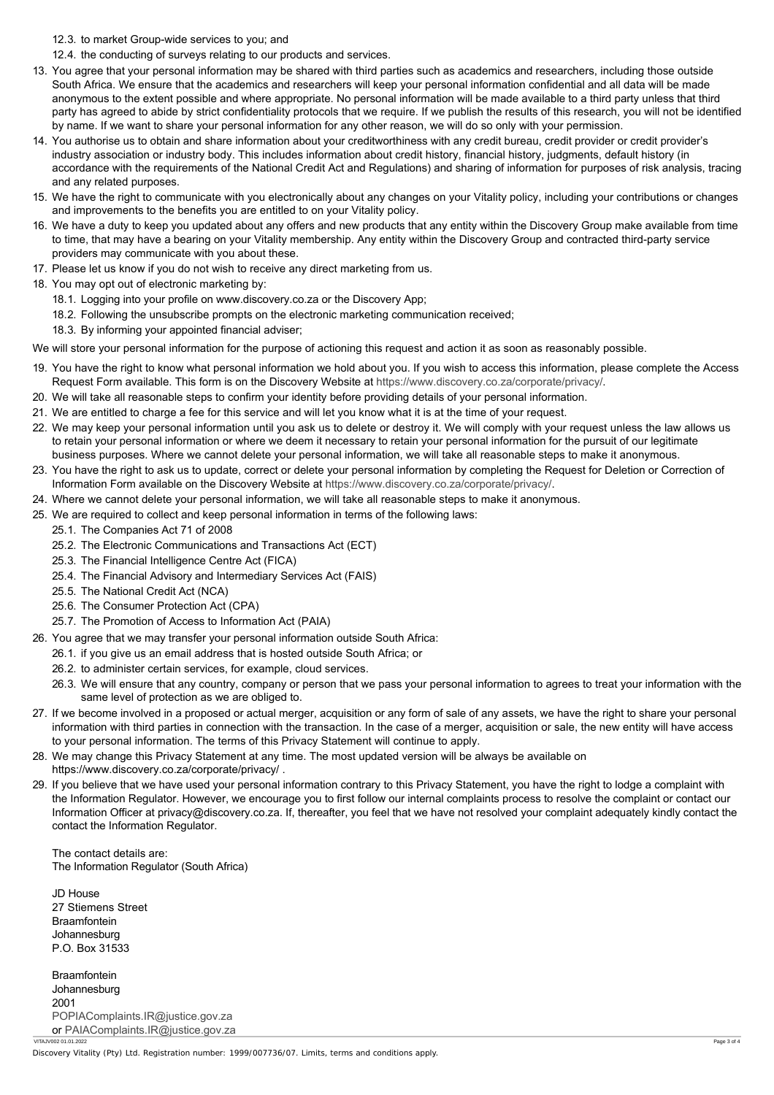- 12 . 3 . to market Group-wide services to you; and
- 12 . 4 . the conducting of surveys relating to our products and services.
- 13 . You agree that your personal information may be shared with third parties such as academics and researchers, including those outside South Africa. We ensure that the academics and researchers will keep your personal information confidential and all data will be made anonymous to the extent possible and where appropriate. No personal information will be made available to a third party unless that third party has agreed to abide by strict confidentiality protocols that we require. If we publish the results of this research, you will not be identified by name. If we want to share your personal information for any other reason, we will do so only with your permission.
- 14 . You authorise us to obtain and share information about your creditworthiness with any credit bureau, credit provider or credit provider's industry association or industry body. This includes information about credit history, financial history, judgments, default history (in accordance with the requirements of the National Credit Act and Regulations) and sharing of information for purposes of risk analysis, tracing and any related purposes.
- 15 . We have the right to communicate with you electronically about any changes on your Vitality policy, including your contributions or changes and improvements to the benefits you are entitled to on your Vitality policy.
- 16 . We have a duty to keep you updated about any offers and new products that any entity within the Discovery Group make available from time to time, that may have a bearing on your Vitality membership. Any entity within the Discovery Group and contracted third-party service providers may communicate with you about these.
- 17 . Please let us know if you do not wish to receive any direct marketing from us.
- 18 . You may opt out of electronic marketing by:
	- 18 . 1 . Logging into your profile on www.discovery.co.za or the Discovery App;
	- 18 . 2 . Following the unsubscribe prompts on the electronic marketing communication received;
	- 18 . 3 . By informing your appointed financial adviser;

We will store your personal information for the purpose of actioning this request and action it as soon as reasonably possible.

- 19 . You have the right to know what personal information we hold about you. If you wish to access this information, please complete the Access Request Form available. This form is on the Discovery Website at<https://www.discovery.co.za/corporate/privacy/>.
- 20 . We will take all reasonable steps to confirm your identity before providing details of your personal information.
- 21 . We are entitled to charge a fee for this service and will let you know what it is at the time of your request.
- 22 . We may keep your personal information until you ask us to delete or destroy it. We will comply with your request unless the law allows us to retain your personal information or where we deem it necessary to retain your personal information for the pursuit of our legitimate business purposes. Where we cannot delete your personal information, we will take all reasonable steps to make it anonymous.
- 23 . You have the right to ask us to update, correct or delete your personal information by completing the Request for Deletion or Correction of Information Form available on the Discovery Website at<https://www.discovery.co.za/corporate/privacy/>.
- 24 . Where we cannot delete your personal information, we will take all reasonable steps to make it anonymous.
- 25 . We are required to collect and keep personal information in terms of the following laws:
	- 25 . 1 . The Companies Act 71 of 2008
	- 25 . 2 . The Electronic Communications and Transactions Act (ECT)
	- 25 . 3 . The Financial Intelligence Centre Act (FICA)
	- 25 . 4 . The Financial Advisory and Intermediary Services Act (FAIS)
	- 25 . 5 . The National Credit Act (NCA)
	- 25 . 6 . The Consumer Protection Act (CPA)
	- 25 . 7 . The Promotion of Access to Information Act (PAIA)
- 26 . You agree that we may transfer your personal information outside South Africa:
	- 26 . 1 . if you give us an email address that is hosted outside South Africa; or
	- 26 . 2 . to administer certain services, for example, cloud services.
	- 26 . 3 . We will ensure that any country, company or person that we pass your personal information to agrees to treat your information with the same level of protection as we are obliged to.
- 27 . If we become involved in a proposed or actual merger, acquisition or any form of sale of any assets, we have the right to share your personal information with third parties in connection with the transaction. In the case of a merger, acquisition or sale, the new entity will have access to your personal information. The terms of this Privacy Statement will continue to apply.
- 28 . We may change this Privacy Statement at any time. The most updated version will be always be available on https://www.discovery.co.za/corporate/privacy/ .
- 29 . If you believe that we have used your personal information contrary to this Privacy Statement, you have the right to lodge a complaint with the Information Regulator. However, we encourage you to first follow our internal complaints process to resolve the complaint or contact our Information Officer at privacy@discovery.co.za. If, thereafter, you feel that we have not resolved your complaint adequately kindly contact the contact the Information Regulator.

The contact details are: The Information Regulator (South Africa)

JD House 27 Stiemens Street **Braamfontein** Johannesburg P.O. Box 31533

Braamfontein Johannesburg 2001 [POPIAComplaints.IR@justice.gov.za](mailto:POPIAComplaints.IR@justice.gov.za) or [PAIAComplaints.IR@justice.gov.za](mailto:PAIAComplaints.IR@justice.gov.za) VITAJV002 01.01.2022 Page 3 of 4